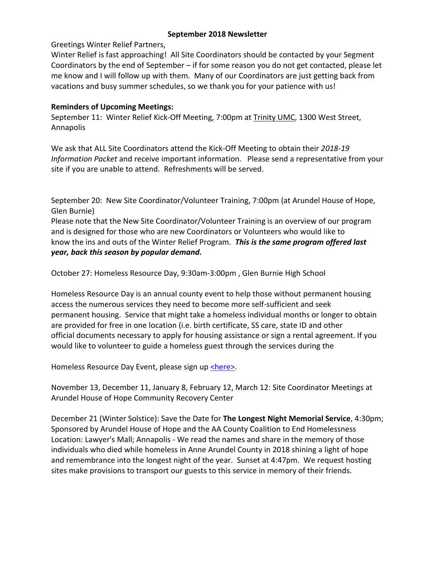### **September 2018 Newsletter**

### Greetings Winter Relief Partners,

Winter Relief is fast approaching! All Site Coordinators should be contacted by your Segment Coordinators by the end of September – if for some reason you do not get contacted, please let me know and I will follow up with them. Many of our Coordinators are just getting back from vacations and busy summer schedules, so we thank you for your patience with us!

# **Reminders of Upcoming Meetings:**

September 11: Winter Relief Kick-Off Meeting, 7:00pm at Trinity UMC, 1300 West Street, Annapolis

We ask that ALL Site Coordinators attend the Kick-Off Meeting to obtain their *2018-19 Information Packet* and receive important information. Please send a representative from your site if you are unable to attend. Refreshments will be served.

September 20: New Site Coordinator/Volunteer Training, 7:00pm (at Arundel House of Hope, Glen Burnie)

Please note that the New Site Coordinator/Volunteer Training is an overview of our program and is designed for those who are new Coordinators or Volunteers who would like to know the ins and outs of the Winter Relief Program. *This is the same program offered last year, back this season by popular demand.* 

October 27: Homeless Resource Day, 9:30am-3:00pm , Glen Burnie High School

Homeless Resource Day is an annual county event to help those without permanent housing access the numerous services they need to become more self-sufficient and seek permanent housing. Service that might take a homeless individual months or longer to obtain are provided for free in one location (i.e. birth certificate, SS care, state ID and other official documents necessary to apply for housing assistance or sign a rental agreement. If you would like to volunteer to guide a homeless guest through the services during the

Homeless Resource Day Event, please sign up [<here>.](https://docs.google.com/forms/d/1Zr6cs8UR54XVgxV5XJXznq5196P2zz-LLkKfJNYn3_E/viewform?edit_requested=true?edit_requested=true)

November 13, December 11, January 8, February 12, March 12: Site Coordinator Meetings at Arundel House of Hope Community Recovery Center

December 21 (Winter Solstice): Save the Date for **The Longest Night Memorial Service**, 4:30pm; Sponsored by Arundel House of Hope and the AA County Coalition to End Homelessness Location: Lawyer's Mall; Annapolis - We read the names and share in the memory of those individuals who died while homeless in Anne Arundel County in 2018 shining a light of hope and remembrance into the longest night of the year. Sunset at 4:47pm. We request hosting sites make provisions to transport our guests to this service in memory of their friends.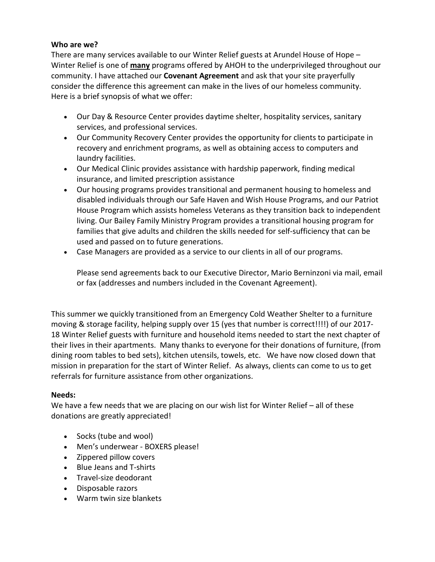# **Who are we?**

There are many services available to our Winter Relief guests at Arundel House of Hope – Winter Relief is one of **many** programs offered by AHOH to the underprivileged throughout our community. I have attached our **Covenant Agreement** and ask that your site prayerfully consider the difference this agreement can make in the lives of our homeless community. Here is a brief synopsis of what we offer:

- Our Day & Resource Center provides daytime shelter, hospitality services, sanitary services, and professional services.
- Our Community Recovery Center provides the opportunity for clients to participate in recovery and enrichment programs, as well as obtaining access to computers and laundry facilities.
- Our Medical Clinic provides assistance with hardship paperwork, finding medical insurance, and limited prescription assistance
- Our housing programs provides transitional and permanent housing to homeless and disabled individuals through our Safe Haven and Wish House Programs, and our Patriot House Program which assists homeless Veterans as they transition back to independent living. Our Bailey Family Ministry Program provides a transitional housing program for families that give adults and children the skills needed for self-sufficiency that can be used and passed on to future generations.
- Case Managers are provided as a service to our clients in all of our programs.

Please send agreements back to our Executive Director, Mario Berninzoni via mail, email or fax (addresses and numbers included in the Covenant Agreement).

This summer we quickly transitioned from an Emergency Cold Weather Shelter to a furniture moving & storage facility, helping supply over 15 (yes that number is correct!!!!) of our 2017- 18 Winter Relief guests with furniture and household items needed to start the next chapter of their lives in their apartments. Many thanks to everyone for their donations of furniture, (from dining room tables to bed sets), kitchen utensils, towels, etc. We have now closed down that mission in preparation for the start of Winter Relief. As always, clients can come to us to get referrals for furniture assistance from other organizations.

### **Needs:**

We have a few needs that we are placing on our wish list for Winter Relief - all of these donations are greatly appreciated!

- Socks (tube and wool)
- Men's underwear BOXERS please!
- Zippered pillow covers
- Blue Jeans and T-shirts
- Travel-size deodorant
- Disposable razors
- Warm twin size blankets